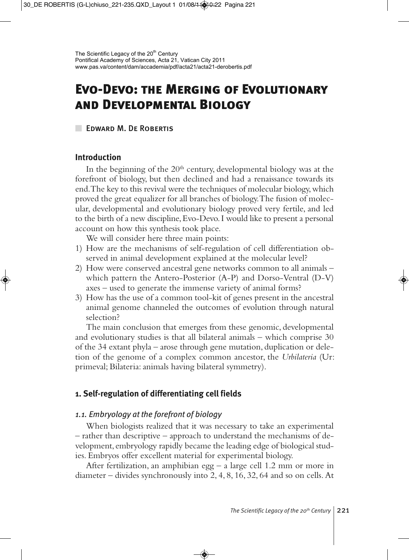# **Evo-Devo: the Merging of Evolutionary and Developmental Biology**

**EDWARD M. DE ROBERTIS** 

## **Introduction**

In the beginning of the  $20<sup>th</sup>$  century, developmental biology was at the forefront of biology, but then declined and had a renaissance towards its end. The key to this revival were the techniques of molecular biology, which proved the great equalizer for all branches of biology. The fusion of molecular, developmental and evolutionary biology proved very fertile, and led to the birth of a new discipline, Evo-Devo. I would like to present a personal account on how this synthesis took place.

We will consider here three main points:

- 1) How are the mechanisms of self-regulation of cell differentiation observed in animal development explained at the molecular level?
- 2) How were conserved ancestral gene networks common to all animals which pattern the Antero-Posterior (A-P) and Dorso-Ventral (D-V) axes – used to generate the immense variety of animal forms?
- 3) How has the use of a common tool-kit of genes present in the ancestral animal genome channeled the outcomes of evolution through natural selection?

The main conclusion that emerges from these genomic, developmental and evolutionary studies is that all bilateral animals – which comprise 30 of the 34 extant phyla – arose through gene mutation, duplication or deletion of the genome of a complex common ancestor, the *Urbilateria* (Ur: primeval; Bilateria: animals having bilateral symmetry).

## **1. Self-regulation of differentiating cell fields**

## *1.1. Embryology at the forefront of biology*

When biologists realized that it was necessary to take an experimental – rather than descriptive – approach to understand the mechanisms of development, embryology rapidly became the leading edge of biological studies. Embryos offer excellent material for experimental biology.

After fertilization, an amphibian egg – a large cell 1.2 mm or more in diameter – divides synchronously into 2, 4, 8, 16, 32, 64 and so on cells. At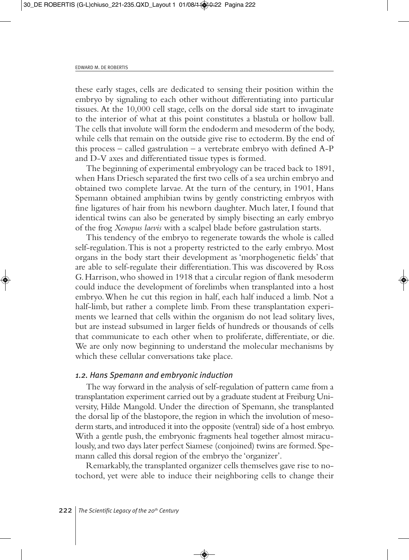these early stages, cells are dedicated to sensing their position within the embryo by signaling to each other without differentiating into particular tissues. At the 10,000 cell stage, cells on the dorsal side start to invaginate to the interior of what at this point constitutes a blastula or hollow ball. The cells that involute will form the endoderm and mesoderm of the body, while cells that remain on the outside give rise to ectoderm. By the end of this process – called gastrulation – a vertebrate embryo with defined A-P and D-V axes and differentiated tissue types is formed.

The beginning of experimental embryology can be traced back to 1891, when Hans Driesch separated the first two cells of a sea urchin embryo and obtained two complete larvae. At the turn of the century, in 1901, Hans Spemann obtained amphibian twins by gently constricting embryos with fine ligatures of hair from his newborn daughter. Much later, I found that identical twins can also be generated by simply bisecting an early embryo of the frog *Xenopus laevis* with a scalpel blade before gastrulation starts.

This tendency of the embryo to regenerate towards the whole is called self-regulation. This is not a property restricted to the early embryo. Most organs in the body start their development as 'morphogenetic fields' that are able to self-regulate their differentiation. This was discovered by Ross G. Harrison, who showed in 1918 that a circular region of flank mesoderm could induce the development of forelimbs when transplanted into a host embryo. When he cut this region in half, each half induced a limb. Not a half-limb, but rather a complete limb. From these transplantation experiments we learned that cells within the organism do not lead solitary lives, but are instead subsumed in larger fields of hundreds or thousands of cells that communicate to each other when to proliferate, differentiate, or die. We are only now beginning to understand the molecular mechanisms by which these cellular conversations take place.

## *1.2. Hans Spemann and embryonic induction*

The way forward in the analysis of self-regulation of pattern came from a transplantation experiment carried out by a graduate student at Freiburg University, Hilde Mangold. Under the direction of Spemann, she transplanted the dorsal lip of the blastopore, the region in which the involution of mesoderm starts, and introduced it into the opposite (ventral) side of a host embryo. With a gentle push, the embryonic fragments heal together almost miraculously, and two days later perfect Siamese (conjoined) twins are formed. Spemann called this dorsal region of the embryo the 'organizer'.

Remarkably, the transplanted organizer cells themselves gave rise to notochord, yet were able to induce their neighboring cells to change their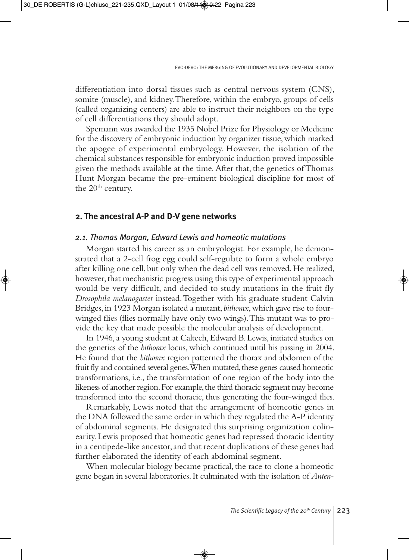differentiation into dorsal tissues such as central nervous system (CNS), somite (muscle), and kidney. Therefore, within the embryo, groups of cells (called organizing centers) are able to instruct their neighbors on the type of cell differentiations they should adopt.

Spemann was awarded the 1935 Nobel Prize for Physiology or Medicine for the discovery of embryonic induction by organizer tissue, which marked the apogee of experimental embryology. However, the isolation of the chemical substances responsible for embryonic induction proved impossible given the methods available at the time. After that, the genetics of Thomas Hunt Morgan became the pre-eminent biological discipline for most of the 20<sup>th</sup> century.

#### **2. The ancestral A-P and D-V gene networks**

#### *2.1. Thomas Morgan, Edward Lewis and homeotic mutations*

Morgan started his career as an embryologist. For example, he demonstrated that a 2-cell frog egg could self-regulate to form a whole embryo after killing one cell, but only when the dead cell was removed. He realized, however, that mechanistic progress using this type of experimental approach would be very difficult, and decided to study mutations in the fruit fly *Drosophila melanogaster* instead. Together with his graduate student Calvin Bridges, in 1923 Morgan isolated a mutant, *bithorax*, which gave rise to fourwinged flies (flies normally have only two wings). This mutant was to provide the key that made possible the molecular analysis of development.

In 1946, a young student at Caltech, Edward B. Lewis, initiated studies on the genetics of the *bithorax* locus, which continued until his passing in 2004. He found that the *bithorax* region patterned the thorax and abdomen of the fruit fly and contained several genes. When mutated, these genes caused homeotic transformations, i.e., the transformation of one region of the body into the likeness of another region. For example, the third thoracic segment may become transformed into the second thoracic, thus generating the four-winged flies.

Remarkably, Lewis noted that the arrangement of homeotic genes in the DNA followed the same order in which they regulated the A-P identity of abdominal segments. He designated this surprising organization colinearity. Lewis proposed that homeotic genes had repressed thoracic identity in a centipede-like ancestor, and that recent duplications of these genes had further elaborated the identity of each abdominal segment.

When molecular biology became practical, the race to clone a homeotic gene began in several laboratories. It culminated with the isolation of *Anten-*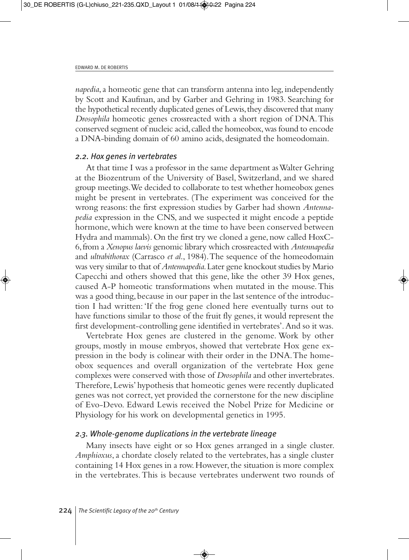*napedia*, a homeotic gene that can transform antenna into leg, independently by Scott and Kaufman, and by Garber and Gehring in 1983. Searching for the hypothetical recently duplicated genes of Lewis, they discovered that many *Drosophila* homeotic genes crossreacted with a short region of DNA. This conserved segment of nucleic acid, called the homeobox, was found to encode a DNA-binding domain of 60 amino acids, designated the homeodomain.

#### *2.2. Hox genes in vertebrates*

At that time I was a professor in the same department as Walter Gehring at the Biozentrum of the University of Basel, Switzerland, and we shared group meetings. We decided to collaborate to test whether homeobox genes might be present in vertebrates. (The experiment was conceived for the wrong reasons: the first expression studies by Garber had shown *Antennapedia* expression in the CNS, and we suspected it might encode a peptide hormone, which were known at the time to have been conserved between Hydra and mammals). On the first try we cloned a gene, now called HoxC-6, from a *Xenopus laevis* genomic library which crossreacted with *Antennapedia* and *ultrabithorax* (Carrasco *et al*., 1984). The sequence of the homeodomain was very similar to that of *Antennapedia*. Later gene knockout studies by Mario Capecchi and others showed that this gene, like the other 39 Hox genes, caused A-P homeotic transformations when mutated in the mouse. This was a good thing, because in our paper in the last sentence of the introduction I had written: 'If the frog gene cloned here eventually turns out to have functions similar to those of the fruit fly genes, it would represent the first development-controlling gene identified in vertebrates'. And so it was.

Vertebrate Hox genes are clustered in the genome. Work by other groups, mostly in mouse embryos, showed that vertebrate Hox gene expression in the body is colinear with their order in the DNA. The homeobox sequences and overall organization of the vertebrate Hox gene complexes were conserved with those of *Drosophila* and other invertebrates. Therefore, Lewis' hypothesis that homeotic genes were recently duplicated genes was not correct, yet provided the cornerstone for the new discipline of Evo-Devo. Edward Lewis received the Nobel Prize for Medicine or Physiology for his work on developmental genetics in 1995.

#### *2.3. Whole-genome duplications in the vertebrate lineage*

Many insects have eight or so Hox genes arranged in a single cluster. *Amphioxus*, a chordate closely related to the vertebrates, has a single cluster containing 14 Hox genes in a row. However, the situation is more complex in the vertebrates. This is because vertebrates underwent two rounds of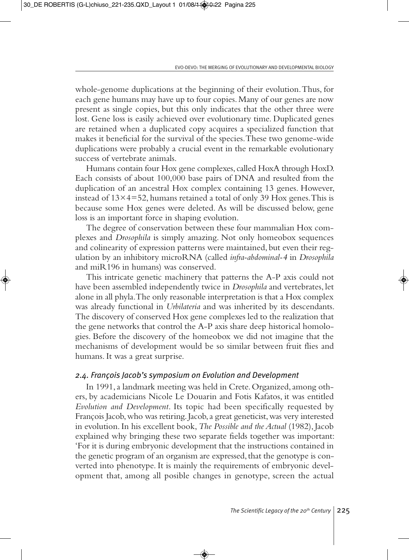whole-genome duplications at the beginning of their evolution. Thus, for each gene humans may have up to four copies. Many of our genes are now present as single copies, but this only indicates that the other three were lost. Gene loss is easily achieved over evolutionary time. Duplicated genes are retained when a duplicated copy acquires a specialized function that makes it beneficial for the survival of the species. These two genome-wide duplications were probably a crucial event in the remarkable evolutionary success of vertebrate animals.

Humans contain four Hox gene complexes, called HoxA through HoxD. Each consists of about 100,000 base pairs of DNA and resulted from the duplication of an ancestral Hox complex containing 13 genes. However, instead of  $13\times4=52$ , humans retained a total of only 39 Hox genes. This is because some Hox genes were deleted. As will be discussed below, gene loss is an important force in shaping evolution.

The degree of conservation between these four mammalian Hox complexes and *Drosophila* is simply amazing. Not only homeobox sequences and colinearity of expression patterns were maintained, but even their regulation by an inhibitory microRNA (called *infra-abdominal-4* in *Drosophila* and miR196 in humans) was conserved.

This intricate genetic machinery that patterns the A-P axis could not have been assembled independently twice in *Drosophila* and vertebrates, let alone in all phyla. The only reasonable interpretation is that a Hox complex was already functional in *Urbilateria* and was inherited by its descendants. The discovery of conserved Hox gene complexes led to the realization that the gene networks that control the A-P axis share deep historical homologies. Before the discovery of the homeobox we did not imagine that the mechanisms of development would be so similar between fruit flies and humans. It was a great surprise.

#### *2.4. François Jacob's symposium on Evolution and Development*

In 1991, a landmark meeting was held in Crete. Organized, among others, by academicians Nicole Le Douarin and Fotis Kafatos, it was entitled *Evolution and Development*. Its topic had been specifically requested by François Jacob, who was retiring. Jacob, a great geneticist, was very interested in evolution. In his excellent book, *The Possible and the Actual* (1982), Jacob explained why bringing these two separate fields together was important: 'For it is during embryonic development that the instructions contained in the genetic program of an organism are expressed, that the genotype is converted into phenotype. It is mainly the requirements of embryonic development that, among all posible changes in genotype, screen the actual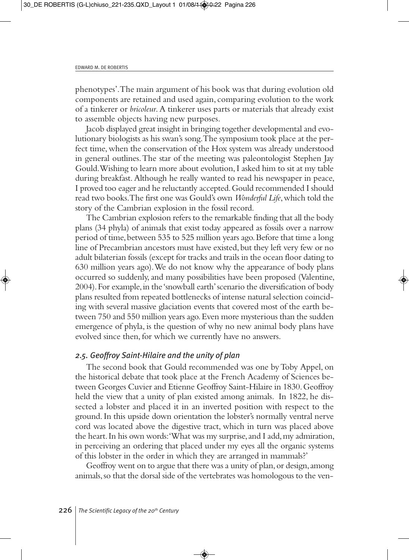phenotypes'. The main argument of his book was that during evolution old components are retained and used again, comparing evolution to the work of a tinkerer or *bricoleur*. A tinkerer uses parts or materials that already exist to assemble objects having new purposes.

Jacob displayed great insight in bringing together developmental and evolutionary biologists as his swan's song. The symposium took place at the perfect time, when the conservation of the Hox system was already understood in general outlines. The star of the meeting was paleontologist Stephen Jay Gould. Wishing to learn more about evolution, I asked him to sit at my table during breakfast. Although he really wanted to read his newspaper in peace, I proved too eager and he reluctantly accepted. Gould recommended I should read two books. The first one was Gould's own *Wonderful Life*, which told the story of the Cambrian explosion in the fossil record.

The Cambrian explosion refers to the remarkable finding that all the body plans (34 phyla) of animals that exist today appeared as fossils over a narrow period of time, between 535 to 525 million years ago. Before that time a long line of Precambrian ancestors must have existed, but they left very few or no adult bilaterian fossils (except for tracks and trails in the ocean floor dating to 630 million years ago). We do not know why the appearance of body plans occurred so suddenly, and many possibilities have been proposed (Valentine, 2004). For example, in the 'snowball earth' scenario the diversification of body plans resulted from repeated bottlenecks of intense natural selection coinciding with several massive glaciation events that covered most of the earth between 750 and 550 million years ago. Even more mysterious than the sudden emergence of phyla, is the question of why no new animal body plans have evolved since then, for which we currently have no answers.

## *2.5. Geoffroy Saint-Hilaire and the unity of plan*

The second book that Gould recommended was one by Toby Appel, on the historical debate that took place at the French Academy of Sciences between Georges Cuvier and Etienne Geoffroy Saint-Hilaire in 1830. Geoffroy held the view that a unity of plan existed among animals. In 1822, he dissected a lobster and placed it in an inverted position with respect to the ground. In this upside down orientation the lobster's normally ventral nerve cord was located above the digestive tract, which in turn was placed above the heart. In his own words: 'What was my surprise, and I add, my admiration, in perceiving an ordering that placed under my eyes all the organic systems of this lobster in the order in which they are arranged in mammals?'

Geoffroy went on to argue that there was a unity of plan, or design, among animals, so that the dorsal side of the vertebrates was homologous to the ven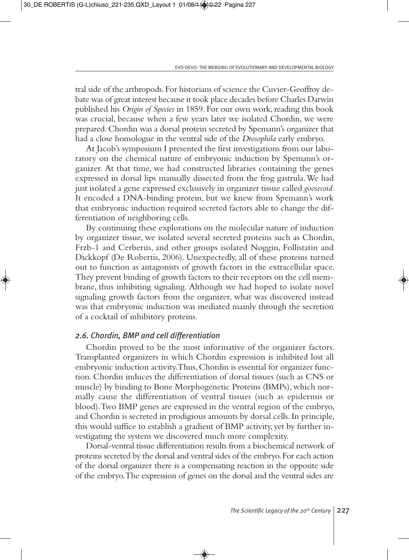tral side of the arthropods. For historians of science the Cuvier-Geoffroy debate was of great interest because it took place decades before Charles Darwin published his *Origin of Species* in 1859. For our own work, reading this book was crucial, because when a few years later we isolated Chordin, we were prepared. Chordin was a dorsal protein secreted by Spemann's organizer that had a close homologue in the ventral side of the *Drosophila* early embryo.

At Jacob's symposium I presented the first investigations from our laboratory on the chemical nature of embryonic induction by Spemann's organizer. At that time, we had constructed libraries containing the genes expressed in dorsal lips manually dissected from the frog gastrula. We had just isolated a gene expressed exclusively in organizer tissue called *goosecoid*. It encoded a DNA-binding protein, but we knew from Spemann's work that embryonic induction required secreted factors able to change the differentiation of neighboring cells.

By continuing these explorations on the molecular nature of induction by organizer tissue, we isolated several secreted proteins such as Chordin, Frzb-1 and Cerberus, and other groups isolated Noggin, Follistatin and Dickkopf (De Robertis, 2006). Unexpectedly, all of these proteins turned out to function as antagonists of growth factors in the extracellular space. They prevent binding of growth factors to their receptors on the cell membrane, thus inhibiting signaling. Although we had hoped to isolate novel signaling growth factors from the organizer, what was discovered instead was that embryonic induction was mediated mainly through the secretion of a cocktail of inhibitory proteins.

#### *2.6. Chordin, BMP and cell differentiation*

Chordin proved to be the most informative of the organizer factors. Transplanted organizers in which Chordin expression is inhibited lost all embryonic induction activity. Thus, Chordin is essential for organizer function. Chordin induces the differentiation of dorsal tissues (such as CNS or muscle) by binding to Bone Morphogenetic Proteins (BMPs), which normally cause the differentiation of ventral tissues (such as epidermis or blood). Two BMP genes are expressed in the ventral region of the embryo, and Chordin is secreted in prodigious amounts by dorsal cells. In principle, this would suffice to establish a gradient of BMP activity, yet by further investigating the system we discovered much more complexity.

Dorsal-ventral tissue differentiation results from a biochemical network of proteins secreted by the dorsal and ventral sides of the embryo. For each action of the dorsal organizer there is a compensating reaction in the opposite side of the embryo. The expression of genes on the dorsal and the ventral sides are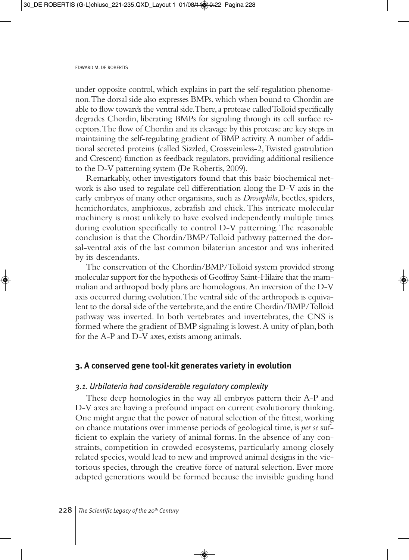under opposite control, which explains in part the self-regulation phenomenon. The dorsal side also expresses BMPs, which when bound to Chordin are able to flow towards the ventral side. There, a protease called Tolloid specifically degrades Chordin, liberating BMPs for signaling through its cell surface receptors. The flow of Chordin and its cleavage by this protease are key steps in maintaining the self-regulating gradient of BMP activity. A number of additional secreted proteins (called Sizzled, Crossveinless-2, Twisted gastrulation and Crescent) function as feedback regulators, providing additional resilience to the D-V patterning system (De Robertis, 2009).

Remarkably, other investigators found that this basic biochemical network is also used to regulate cell differentiation along the D-V axis in the early embryos of many other organisms, such as *Drosophila*, beetles, spiders, hemichordates, amphioxus, zebrafish and chick. This intricate molecular machinery is most unlikely to have evolved independently multiple times during evolution specifically to control D-V patterning. The reasonable conclusion is that the Chordin/BMP/Tolloid pathway patterned the dorsal-ventral axis of the last common bilaterian ancestor and was inherited by its descendants.

The conservation of the Chordin/BMP/Tolloid system provided strong molecular support for the hypothesis of Geoffroy Saint-Hilaire that the mammalian and arthropod body plans are homologous. An inversion of the D-V axis occurred during evolution. The ventral side of the arthropods is equivalent to the dorsal side of the vertebrate, and the entire Chordin/BMP/Tolloid pathway was inverted. In both vertebrates and invertebrates, the CNS is formed where the gradient of BMP signaling is lowest. A unity of plan, both for the A-P and D-V axes, exists among animals.

## **3. A conserved gene tool-kit generates variety in evolution**

#### *3.1. Urbilateria had considerable regulatory complexity*

These deep homologies in the way all embryos pattern their A-P and D-V axes are having a profound impact on current evolutionary thinking. One might argue that the power of natural selection of the fittest, working on chance mutations over immense periods of geological time, is *per se* sufficient to explain the variety of animal forms. In the absence of any constraints, competition in crowded ecosystems, particularly among closely related species, would lead to new and improved animal designs in the victorious species, through the creative force of natural selection. Ever more adapted generations would be formed because the invisible guiding hand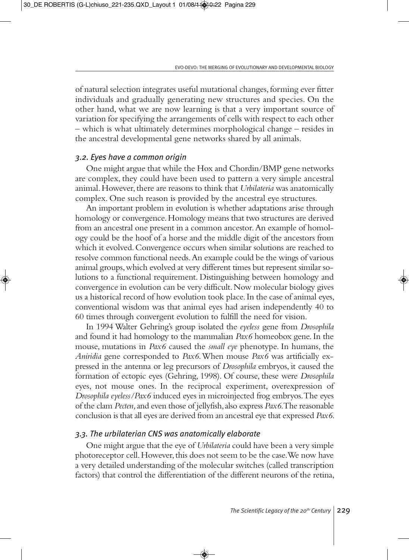of natural selection integrates useful mutational changes, forming ever fitter individuals and gradually generating new structures and species. On the other hand, what we are now learning is that a very important source of variation for specifying the arrangements of cells with respect to each other – which is what ultimately determines morphological change – resides in the ancestral developmental gene networks shared by all animals.

## *3.2. Eyes have a common origin*

One might argue that while the Hox and Chordin/BMP gene networks are complex, they could have been used to pattern a very simple ancestral animal. However, there are reasons to think that *Urbilateria* was anatomically complex. One such reason is provided by the ancestral eye structures.

An important problem in evolution is whether adaptations arise through homology or convergence. Homology means that two structures are derived from an ancestral one present in a common ancestor. An example of homology could be the hoof of a horse and the middle digit of the ancestors from which it evolved. Convergence occurs when similar solutions are reached to resolve common functional needs. An example could be the wings of various animal groups, which evolved at very different times but represent similar solutions to a functional requirement. Distinguishing between homology and convergence in evolution can be very difficult. Now molecular biology gives us a historical record of how evolution took place. In the case of animal eyes, conventional wisdom was that animal eyes had arisen independently 40 to 60 times through convergent evolution to fulfill the need for vision.

In 1994 Walter Gehring's group isolated the *eyeless* gene from *Drosophila* and found it had homology to the mammalian *Pax6* homeobox gene. In the mouse, mutations in *Pax6* caused the *small eye* phenotype. In humans, the *Aniridia* gene corresponded to *Pax6*. When mouse *Pax6* was artificially expressed in the antenna or leg precursors of *Drosophila* embryos, it caused the formation of ectopic eyes (Gehring, 1998). Of course, these were *Drosophila* eyes, not mouse ones. In the reciprocal experiment, overexpression of *Drosophila eyeless/Pax6* induced eyes in microinjected frog embryos. The eyes of the clam *Pecten,* and even those of jellyfish, also express *Pax6*. The reasonable conclusion is that all eyes are derived from an ancestral eye that expressed *Pax6*.

## *3.3. The urbilaterian CNS was anatomically elaborate*

One might argue that the eye of *Urbilateria* could have been a very simple photoreceptor cell. However, this does not seem to be the case. We now have a very detailed understanding of the molecular switches (called transcription factors) that control the differentiation of the different neurons of the retina,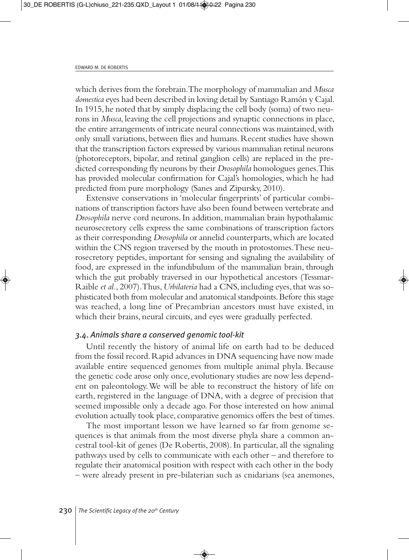which derives from the forebrain. The morphology of mammalian and *Musca domestica* eyes had been described in loving detail by Santiago Ramón y Cajal. In 1915, he noted that by simply displacing the cell body (soma) of two neurons in *Musca*, leaving the cell projections and synaptic connections in place, the entire arrangements of intricate neural connections was maintained, with only small variations, between flies and humans. Recent studies have shown that the transcription factors expressed by various mammalian retinal neurons (photoreceptors, bipolar, and retinal ganglion cells) are replaced in the predicted corresponding fly neurons by their *Drosophila* homologues genes. This has provided molecular confirmation for Cajal's homologies, which he had predicted from pure morphology (Sanes and Zipursky, 2010).

Extensive conservations in 'molecular fingerprints' of particular combinations of transcription factors have also been found between vertebrate and *Drosophila* nerve cord neurons. In addition, mammalian brain hypothalamic neurosecretory cells express the same combinations of transcription factors as their corresponding *Drosophila* or annelid counterparts, which are located within the CNS region traversed by the mouth in protostomes. These neurosecretory peptides, important for sensing and signaling the availability of food, are expressed in the infundibulum of the mammalian brain, through which the gut probably traversed in our hypothetical ancestors (Tessmar-Raible *et al.*, 2007). Thus, *Urbilateria* had a CNS, including eyes, that was sophisticated both from molecular and anatomical standpoints. Before this stage was reached, a long line of Precambrian ancestors must have existed, in which their brains, neural circuits, and eyes were gradually perfected.

### *3.4*. *Animals share a conserved genomic tool-kit*

Until recently the history of animal life on earth had to be deduced from the fossil record. Rapid advances in DNA sequencing have now made available entire sequenced genomes from multiple animal phyla. Because the genetic code arose only once, evolutionary studies are now less dependent on paleontology. We will be able to reconstruct the history of life on earth, registered in the language of DNA, with a degree of precision that seemed impossible only a decade ago. For those interested on how animal evolution actually took place, comparative genomics offers the best of times.

The most important lesson we have learned so far from genome sequences is that animals from the most diverse phyla share a common ancestral tool-kit of genes (De Robertis, 2008). In particular, all the signaling pathways used by cells to communicate with each other – and therefore to regulate their anatomical position with respect with each other in the body – were already present in pre-bilaterian such as cnidarians (sea anemones,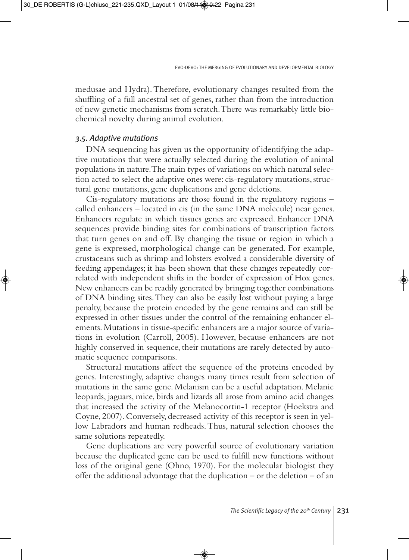medusae and Hydra). Therefore, evolutionary changes resulted from the shuffling of a full ancestral set of genes, rather than from the introduction of new genetic mechanisms from scratch. There was remarkably little biochemical novelty during animal evolution.

#### *3.5. Adaptive mutations*

DNA sequencing has given us the opportunity of identifying the adaptive mutations that were actually selected during the evolution of animal populations in nature. The main types of variations on which natural selection acted to select the adaptive ones were: cis-regulatory mutations, structural gene mutations, gene duplications and gene deletions.

Cis-regulatory mutations are those found in the regulatory regions – called enhancers – located in cis (in the same DNA molecule) near genes. Enhancers regulate in which tissues genes are expressed. Enhancer DNA sequences provide binding sites for combinations of transcription factors that turn genes on and off. By changing the tissue or region in which a gene is expressed, morphological change can be generated. For example, crustaceans such as shrimp and lobsters evolved a considerable diversity of feeding appendages; it has been shown that these changes repeatedly correlated with independent shifts in the border of expression of Hox genes. New enhancers can be readily generated by bringing together combinations of DNA binding sites. They can also be easily lost without paying a large penalty, because the protein encoded by the gene remains and can still be expressed in other tissues under the control of the remaining enhancer elements. Mutations in tissue-specific enhancers are a major source of variations in evolution (Carroll, 2005). However, because enhancers are not highly conserved in sequence, their mutations are rarely detected by automatic sequence comparisons.

Structural mutations affect the sequence of the proteins encoded by genes. Interestingly, adaptive changes many times result from selection of mutations in the same gene. Melanism can be a useful adaptation. Melanic leopards, jaguars, mice, birds and lizards all arose from amino acid changes that increased the activity of the Melanocortin-1 receptor (Hoekstra and Coyne, 2007). Conversely, decreased activity of this receptor is seen in yellow Labradors and human redheads. Thus, natural selection chooses the same solutions repeatedly.

Gene duplications are very powerful source of evolutionary variation because the duplicated gene can be used to fulfill new functions without loss of the original gene (Ohno, 1970). For the molecular biologist they offer the additional advantage that the duplication – or the deletion – of an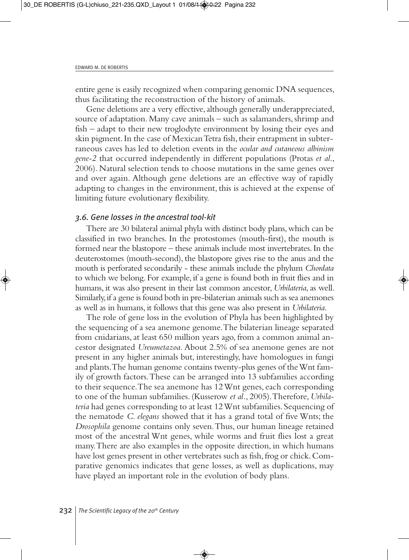entire gene is easily recognized when comparing genomic DNA sequences, thus facilitating the reconstruction of the history of animals.

Gene deletions are a very effective, although generally underappreciated, source of adaptation. Many cave animals – such as salamanders, shrimp and fish – adapt to their new troglodyte environment by losing their eyes and skin pigment. In the case of Mexican Tetra fish, their entrapment in subterraneous caves has led to deletion events in the *ocular and cutaneous albinism gene-2* that occurred independently in different populations (Protas *et al*., 2006). Natural selection tends to choose mutations in the same genes over and over again. Although gene deletions are an effective way of rapidly adapting to changes in the environment, this is achieved at the expense of limiting future evolutionary flexibility.

#### *3.6. Gene losses in the ancestral tool-kit*

There are 30 bilateral animal phyla with distinct body plans, which can be classified in two branches. In the protostomes (mouth-first), the mouth is formed near the blastopore – these animals include most invertebrates. In the deuterostomes (mouth-second), the blastopore gives rise to the anus and the mouth is perforated secondarily - these animals include the phylum *Chordata* to which we belong. For example, if a gene is found both in fruit flies and in humans, it was also present in their last common ancestor, *Urbilateria*, as well. Similarly, if a gene is found both in pre-bilaterian animals such as sea anemones as well as in humans, it follows that this gene was also present in *Urbilateria*.

The role of gene loss in the evolution of Phyla has been highlighted by the sequencing of a sea anemone genome. The bilaterian lineage separated from cnidarians, at least 650 million years ago, from a common animal ancestor designated *Ureumetazoa*. About 2.5% of sea anemone genes are not present in any higher animals but, interestingly, have homologues in fungi and plants. The human genome contains twenty-plus genes of the Wnt family of growth factors. These can be arranged into 13 subfamilies according to their sequence. The sea anemone has 12 Wnt genes, each corresponding to one of the human subfamilies. (Kusserow *et al.*, 2005). Therefore, *Urbilateria* had genes corresponding to at least 12 Wnt subfamilies. Sequencing of the nematode *C. elegans* showed that it has a grand total of five Wnts; the *Drosophila* genome contains only seven. Thus, our human lineage retained most of the ancestral Wnt genes, while worms and fruit flies lost a great many. There are also examples in the opposite direction, in which humans have lost genes present in other vertebrates such as fish, frog or chick. Comparative genomics indicates that gene losses, as well as duplications, may have played an important role in the evolution of body plans.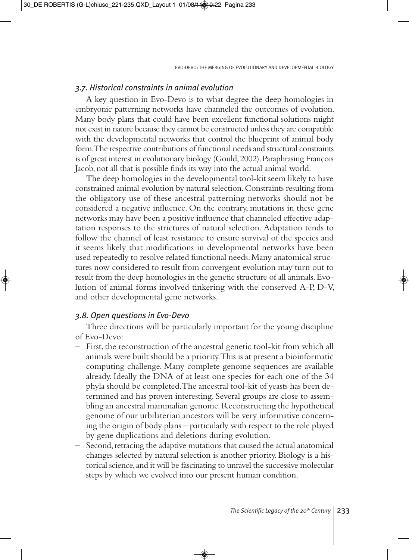## *3.7*. *Historical constraints in animal evolution*

A key question in Evo-Devo is to what degree the deep homologies in embryonic patterning networks have channeled the outcomes of evolution. Many body plans that could have been excellent functional solutions might not exist in nature because they cannot be constructed unless they are compatible with the developmental networks that control the blueprint of animal body form. The respective contributions of functional needs and structural constraints is of great interest in evolutionary biology (Gould, 2002). Paraphrasing François Jacob, not all that is possible finds its way into the actual animal world.

The deep homologies in the developmental tool-kit seem likely to have constrained animal evolution by natural selection. Constraints resulting from the obligatory use of these ancestral patterning networks should not be considered a negative influence. On the contrary, mutations in these gene networks may have been a positive influence that channeled effective adaptation responses to the strictures of natural selection. Adaptation tends to follow the channel of least resistance to ensure survival of the species and it seems likely that modifications in developmental networks have been used repeatedly to resolve related functional needs. Many anatomical structures now considered to result from convergent evolution may turn out to result from the deep homologies in the genetic structure of all animals. Evolution of animal forms involved tinkering with the conserved A-P, D-V, and other developmental gene networks.

## *3.8. Open questions in Evo-Devo*

Three directions will be particularly important for the young discipline of Evo-Devo:

- First, the reconstruction of the ancestral genetic tool-kit from which all animals were built should be a priority. This is at present a bioinformatic computing challenge. Many complete genome sequences are available already. Ideally the DNA of at least one species for each one of the 34 phyla should be completed. The ancestral tool-kit of yeasts has been determined and has proven interesting. Several groups are close to assembling an ancestral mammalian genome. Reconstructing the hypothetical genome of our urbilaterian ancestors will be very informative concerning the origin of body plans – particularly with respect to the role played by gene duplications and deletions during evolution.
- Second, retracing the adaptive mutations that caused the actual anatomical changes selected by natural selection is another priority. Biology is a historical science, and it will be fascinating to unravel the successive molecular steps by which we evolved into our present human condition.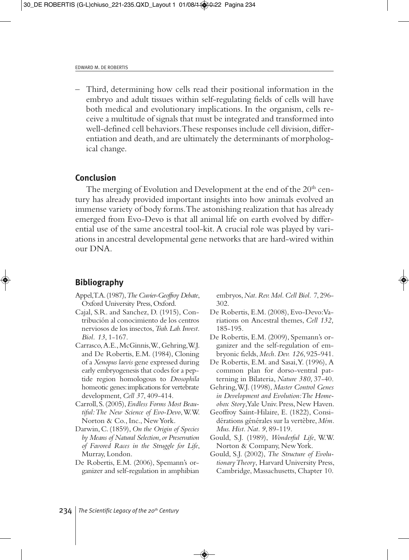– Third, determining how cells read their positional information in the embryo and adult tissues within self-regulating fields of cells will have both medical and evolutionary implications. In the organism, cells receive a multitude of signals that must be integrated and transformed into well-defined cell behaviors. These responses include cell division, differentiation and death, and are ultimately the determinants of morphological change.

### **Conclusion**

The merging of Evolution and Development at the end of the 20<sup>th</sup> century has already provided important insights into how animals evolved an immense variety of body forms. The astonishing realization that has already emerged from Evo-Devo is that all animal life on earth evolved by differential use of the same ancestral tool-kit. A crucial role was played by variations in ancestral developmental gene networks that are hard-wired within our DNA.

## **Bibliography**

- Appel, T.A. (1987), *The Cuvier-Geoffroy Debate*, Oxford University Press, Oxford.
- Cajal, S.R. and Sanchez, D. (1915), Contribución al conocimiento de los centros nerviosos de los insectos, *Trab. Lab. Invest. Biol. 13*, 1-167.
- Carrasco, A.E., McGinnis, W., Gehring, W.J. and De Robertis, E.M. (1984), Cloning of a *Xenopus laevis* gene expressed during early embryogenesis that codes for a peptide region homologous to *Drosophila* homeotic genes: implications for vertebrate development, *Cell 37*, 409-414.
- Carroll, S. (2005), *Endless Forms Most Beautiful: The New Science of Evo-Devo*, W.W. Norton & Co., Inc., New York.
- Darwin, C. (1859), *On the Origin of Species by Means of Natural Selection, or Preservation of Favored Races in the Struggle for Life*, Murray, London.
- De Robertis, E.M. (2006), Spemann's organizer and self-regulation in amphibian

embryos, *Nat. Rev. Mol. Cell Biol. 7*, 296- 302.

- De Robertis, E.M. (2008), Evo-Devo: Variations on Ancestral themes, *Cell 132,* 185-195*.*
- De Robertis, E.M. (2009), Spemann's organizer and the self-regulation of embryonic fields, *Mech. Dev. 126*, 925-941.
- De Robertis, E.M. and Sasai, Y. (1996), A common plan for dorso-ventral patterning in Bilateria, *Nature 380*, 37-40.
- Gehring, W.J. (1998), *Master Control Genes in Development and Evolution: The Homeobox Story*, Yale Univ. Press, New Haven.
- Geoffroy Saint-Hilaire, E. (1822), Considérations générales sur la vertèbre, *Mém. Mus. Hist. Nat. 9*, 89-119.
- Gould, S.J. (1989), *Wonderful Life*, W.W. Norton & Company, New York.
- Gould, S.J. (2002), *The Structure of Evolutionary Theory*, Harvard University Press, Cambridge, Massachusetts, Chapter 10.